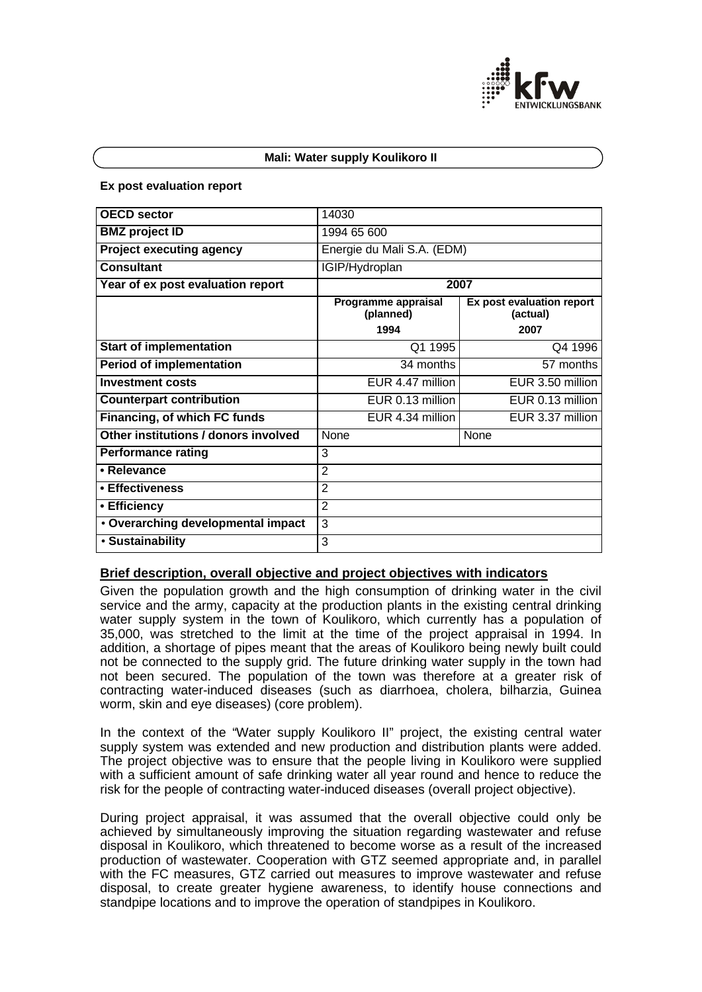

#### **Mali: Water supply Koulikoro II**

#### **Ex post evaluation report**

| <b>OECD</b> sector                   | 14030                            |                                       |
|--------------------------------------|----------------------------------|---------------------------------------|
| <b>BMZ</b> project ID                | 1994 65 600                      |                                       |
| <b>Project executing agency</b>      | Energie du Mali S.A. (EDM)       |                                       |
| <b>Consultant</b>                    | IGIP/Hydroplan                   |                                       |
| Year of ex post evaluation report    | 2007                             |                                       |
|                                      | Programme appraisal<br>(planned) | Ex post evaluation report<br>(actual) |
|                                      | 1994                             | 2007                                  |
| <b>Start of implementation</b>       | Q1 1995                          | Q4 1996                               |
| <b>Period of implementation</b>      | 34 months                        | 57 months                             |
| <b>Investment costs</b>              | EUR 4.47 million                 | EUR 3.50 million                      |
| <b>Counterpart contribution</b>      | EUR 0.13 million                 | EUR 0.13 million                      |
| Financing, of which FC funds         | EUR 4.34 million                 | EUR 3.37 million                      |
| Other institutions / donors involved | None                             | None                                  |
| <b>Performance rating</b>            | 3                                |                                       |
| • Relevance                          | $\overline{2}$                   |                                       |
| • Effectiveness                      | $\overline{2}$                   |                                       |
| • Efficiency                         | $\overline{2}$                   |                                       |
| • Overarching developmental impact   | 3                                |                                       |
| • Sustainability                     | 3                                |                                       |

#### **Brief description, overall objective and project objectives with indicators**

Given the population growth and the high consumption of drinking water in the civil service and the army, capacity at the production plants in the existing central drinking water supply system in the town of Koulikoro, which currently has a population of 35,000, was stretched to the limit at the time of the project appraisal in 1994. In addition, a shortage of pipes meant that the areas of Koulikoro being newly built could not be connected to the supply grid. The future drinking water supply in the town had not been secured. The population of the town was therefore at a greater risk of contracting water-induced diseases (such as diarrhoea, cholera, bilharzia, Guinea worm, skin and eye diseases) (core problem).

In the context of the "Water supply Koulikoro II" project, the existing central water supply system was extended and new production and distribution plants were added. The project objective was to ensure that the people living in Koulikoro were supplied with a sufficient amount of safe drinking water all year round and hence to reduce the risk for the people of contracting water-induced diseases (overall project objective).

During project appraisal, it was assumed that the overall objective could only be achieved by simultaneously improving the situation regarding wastewater and refuse disposal in Koulikoro, which threatened to become worse as a result of the increased production of wastewater. Cooperation with GTZ seemed appropriate and, in parallel with the FC measures, GTZ carried out measures to improve wastewater and refuse disposal, to create greater hygiene awareness, to identify house connections and standpipe locations and to improve the operation of standpipes in Koulikoro.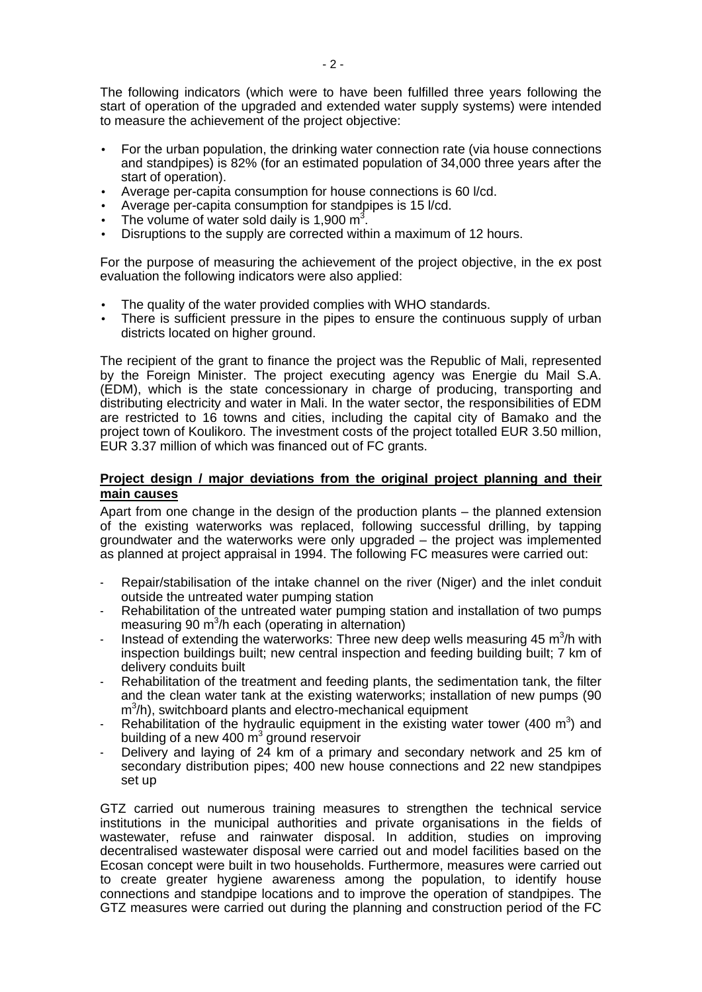The following indicators (which were to have been fulfilled three years following the start of operation of the upgraded and extended water supply systems) were intended to measure the achievement of the project objective:

- For the urban population, the drinking water connection rate (via house connections and standpipes) is 82% (for an estimated population of 34,000 three years after the start of operation).
- Average per-capita consumption for house connections is 60 l/cd.
- Average per-capita consumption for standpipes is 15 l/cd.
- The volume of water sold daily is 1,900  $\text{m}^3$ .
- Disruptions to the supply are corrected within a maximum of 12 hours.

For the purpose of measuring the achievement of the project objective, in the ex post evaluation the following indicators were also applied:

- The quality of the water provided complies with WHO standards.
- There is sufficient pressure in the pipes to ensure the continuous supply of urban districts located on higher ground.

The recipient of the grant to finance the project was the Republic of Mali, represented by the Foreign Minister. The project executing agency was Energie du Mail S.A. (EDM), which is the state concessionary in charge of producing, transporting and distributing electricity and water in Mali. In the water sector, the responsibilities of EDM are restricted to 16 towns and cities, including the capital city of Bamako and the project town of Koulikoro. The investment costs of the project totalled EUR 3.50 million, EUR 3.37 million of which was financed out of FC grants.

## **Project design / major deviations from the original project planning and their main causes**

Apart from one change in the design of the production plants – the planned extension of the existing waterworks was replaced, following successful drilling, by tapping groundwater and the waterworks were only upgraded – the project was implemented as planned at project appraisal in 1994. The following FC measures were carried out:

- Repair/stabilisation of the intake channel on the river (Niger) and the inlet conduit outside the untreated water pumping station
- Rehabilitation of the untreated water pumping station and installation of two pumps measuring 90  $m^3/h$  each (operating in alternation)
- Instead of extending the waterworks: Three new deep wells measuring 45  $m^3/h$  with inspection buildings built; new central inspection and feeding building built; 7 km of delivery conduits built
- Rehabilitation of the treatment and feeding plants, the sedimentation tank, the filter and the clean water tank at the existing waterworks; installation of new pumps (90 m<sup>3</sup>/h), switchboard plants and electro-mechanical equipment
- Rehabilitation of the hydraulic equipment in the existing water tower (400  $\mathrm{m}^3$ ) and building of a new 400  $\text{m}^3$  ground reservoir
- Delivery and laying of 24 km of a primary and secondary network and 25 km of secondary distribution pipes; 400 new house connections and 22 new standpipes set up

GTZ carried out numerous training measures to strengthen the technical service institutions in the municipal authorities and private organisations in the fields of wastewater, refuse and rainwater disposal. In addition, studies on improving decentralised wastewater disposal were carried out and model facilities based on the Ecosan concept were built in two households. Furthermore, measures were carried out to create greater hygiene awareness among the population, to identify house connections and standpipe locations and to improve the operation of standpipes. The GTZ measures were carried out during the planning and construction period of the FC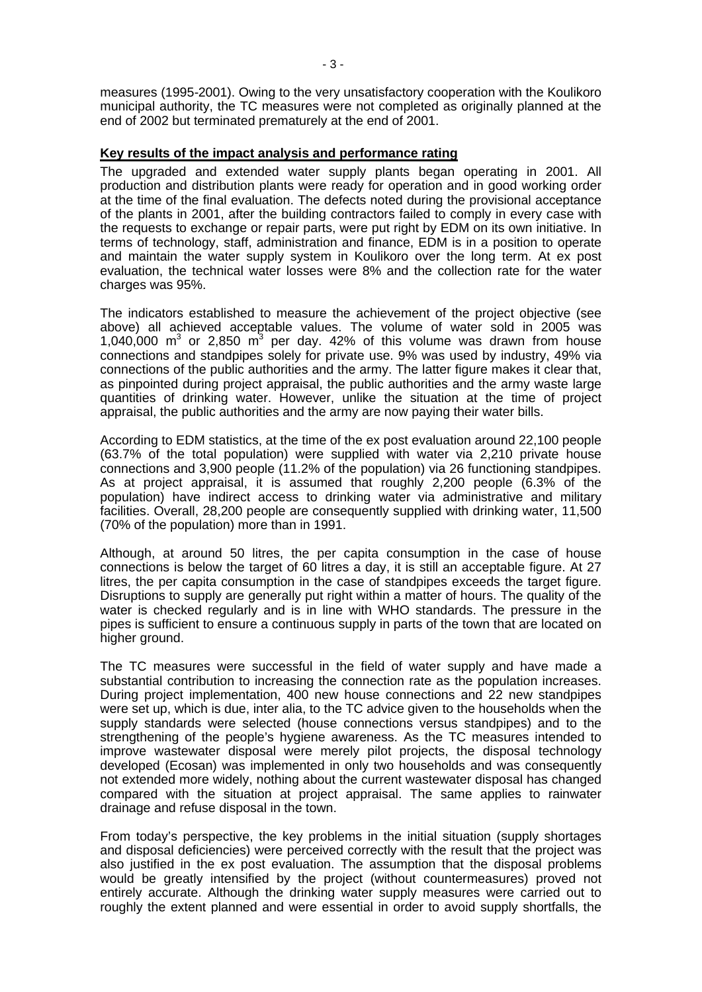measures (1995-2001). Owing to the very unsatisfactory cooperation with the Koulikoro municipal authority, the TC measures were not completed as originally planned at the end of 2002 but terminated prematurely at the end of 2001.

#### **Key results of the impact analysis and performance rating**

The upgraded and extended water supply plants began operating in 2001. All production and distribution plants were ready for operation and in good working order at the time of the final evaluation. The defects noted during the provisional acceptance of the plants in 2001, after the building contractors failed to comply in every case with the requests to exchange or repair parts, were put right by EDM on its own initiative. In terms of technology, staff, administration and finance, EDM is in a position to operate and maintain the water supply system in Koulikoro over the long term. At ex post evaluation, the technical water losses were 8% and the collection rate for the water charges was 95%.

The indicators established to measure the achievement of the project objective (see above) all achieved acceptable values. The volume of water sold in 2005 was 1,040,000  $m^3$  or 2,850  $m^3$  per day. 42% of this volume was drawn from house connections and standpipes solely for private use. 9% was used by industry, 49% via connections of the public authorities and the army. The latter figure makes it clear that, as pinpointed during project appraisal, the public authorities and the army waste large quantities of drinking water. However, unlike the situation at the time of project appraisal, the public authorities and the army are now paying their water bills.

According to EDM statistics, at the time of the ex post evaluation around 22,100 people (63.7% of the total population) were supplied with water via 2,210 private house connections and 3,900 people (11.2% of the population) via 26 functioning standpipes. As at project appraisal, it is assumed that roughly 2,200 people (6.3% of the population) have indirect access to drinking water via administrative and military facilities. Overall, 28,200 people are consequently supplied with drinking water, 11,500 (70% of the population) more than in 1991.

Although, at around 50 litres, the per capita consumption in the case of house connections is below the target of 60 litres a day, it is still an acceptable figure. At 27 litres, the per capita consumption in the case of standpipes exceeds the target figure. Disruptions to supply are generally put right within a matter of hours. The quality of the water is checked regularly and is in line with WHO standards. The pressure in the pipes is sufficient to ensure a continuous supply in parts of the town that are located on higher ground.

The TC measures were successful in the field of water supply and have made a substantial contribution to increasing the connection rate as the population increases. During project implementation, 400 new house connections and 22 new standpipes were set up, which is due, inter alia, to the TC advice given to the households when the supply standards were selected (house connections versus standpipes) and to the strengthening of the people's hygiene awareness. As the TC measures intended to improve wastewater disposal were merely pilot projects, the disposal technology developed (Ecosan) was implemented in only two households and was consequently not extended more widely, nothing about the current wastewater disposal has changed compared with the situation at project appraisal. The same applies to rainwater drainage and refuse disposal in the town.

From today's perspective, the key problems in the initial situation (supply shortages and disposal deficiencies) were perceived correctly with the result that the project was also justified in the ex post evaluation. The assumption that the disposal problems would be greatly intensified by the project (without countermeasures) proved not entirely accurate. Although the drinking water supply measures were carried out to roughly the extent planned and were essential in order to avoid supply shortfalls, the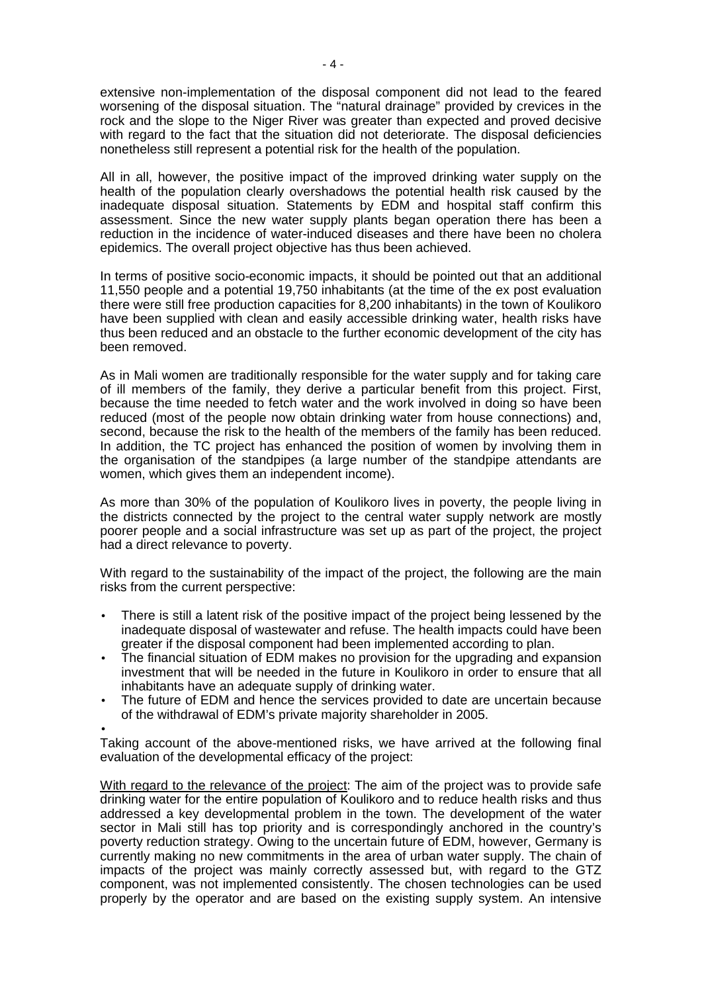extensive non-implementation of the disposal component did not lead to the feared worsening of the disposal situation. The "natural drainage" provided by crevices in the rock and the slope to the Niger River was greater than expected and proved decisive with regard to the fact that the situation did not deteriorate. The disposal deficiencies nonetheless still represent a potential risk for the health of the population.

All in all, however, the positive impact of the improved drinking water supply on the health of the population clearly overshadows the potential health risk caused by the inadequate disposal situation. Statements by EDM and hospital staff confirm this assessment. Since the new water supply plants began operation there has been a reduction in the incidence of water-induced diseases and there have been no cholera epidemics. The overall project objective has thus been achieved.

In terms of positive socio-economic impacts, it should be pointed out that an additional 11,550 people and a potential 19,750 inhabitants (at the time of the ex post evaluation there were still free production capacities for 8,200 inhabitants) in the town of Koulikoro have been supplied with clean and easily accessible drinking water, health risks have thus been reduced and an obstacle to the further economic development of the city has been removed.

As in Mali women are traditionally responsible for the water supply and for taking care of ill members of the family, they derive a particular benefit from this project. First, because the time needed to fetch water and the work involved in doing so have been reduced (most of the people now obtain drinking water from house connections) and, second, because the risk to the health of the members of the family has been reduced. In addition, the TC project has enhanced the position of women by involving them in the organisation of the standpipes (a large number of the standpipe attendants are women, which gives them an independent income).

As more than 30% of the population of Koulikoro lives in poverty, the people living in the districts connected by the project to the central water supply network are mostly poorer people and a social infrastructure was set up as part of the project, the project had a direct relevance to poverty.

With regard to the sustainability of the impact of the project, the following are the main risks from the current perspective:

- There is still a latent risk of the positive impact of the project being lessened by the inadequate disposal of wastewater and refuse. The health impacts could have been greater if the disposal component had been implemented according to plan.
- The financial situation of EDM makes no provision for the upgrading and expansion investment that will be needed in the future in Koulikoro in order to ensure that all inhabitants have an adequate supply of drinking water.
- The future of EDM and hence the services provided to date are uncertain because of the withdrawal of EDM's private majority shareholder in 2005.
- •

Taking account of the above-mentioned risks, we have arrived at the following final evaluation of the developmental efficacy of the project:

With regard to the relevance of the project: The aim of the project was to provide safe drinking water for the entire population of Koulikoro and to reduce health risks and thus addressed a key developmental problem in the town. The development of the water sector in Mali still has top priority and is correspondingly anchored in the country's poverty reduction strategy. Owing to the uncertain future of EDM, however, Germany is currently making no new commitments in the area of urban water supply. The chain of impacts of the project was mainly correctly assessed but, with regard to the GTZ component, was not implemented consistently. The chosen technologies can be used properly by the operator and are based on the existing supply system. An intensive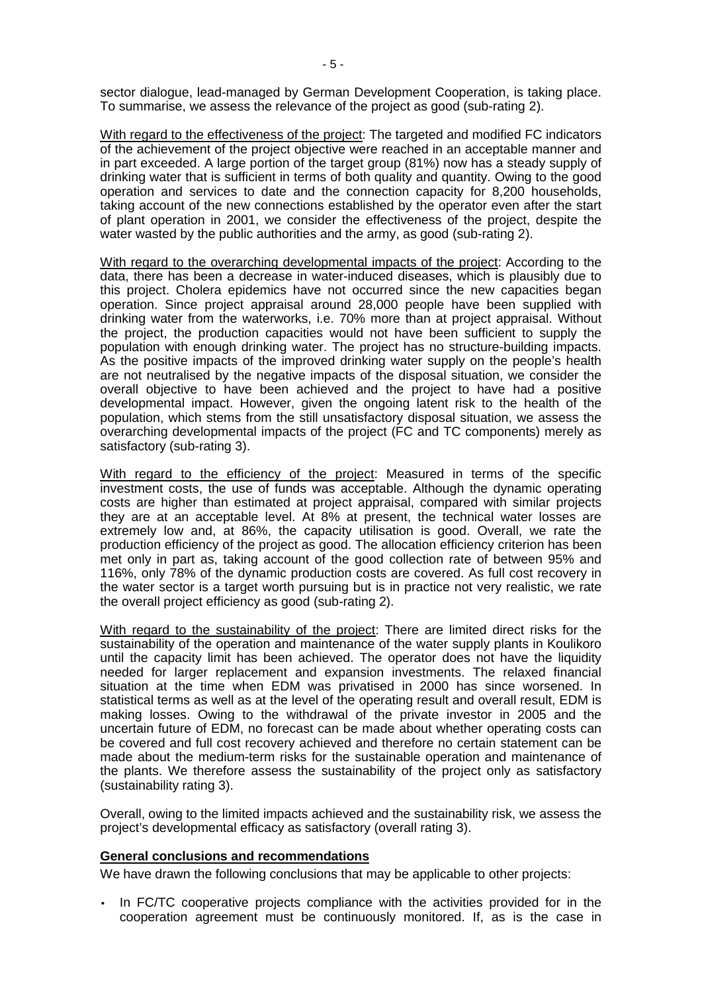sector dialogue, lead-managed by German Development Cooperation, is taking place. To summarise, we assess the relevance of the project as good (sub-rating 2).

With regard to the effectiveness of the project: The targeted and modified FC indicators of the achievement of the project objective were reached in an acceptable manner and in part exceeded. A large portion of the target group (81%) now has a steady supply of drinking water that is sufficient in terms of both quality and quantity. Owing to the good operation and services to date and the connection capacity for 8,200 households, taking account of the new connections established by the operator even after the start of plant operation in 2001, we consider the effectiveness of the project, despite the water wasted by the public authorities and the army, as good (sub-rating 2).

With regard to the overarching developmental impacts of the project: According to the data, there has been a decrease in water-induced diseases, which is plausibly due to this project. Cholera epidemics have not occurred since the new capacities began operation. Since project appraisal around 28,000 people have been supplied with drinking water from the waterworks, i.e. 70% more than at project appraisal. Without the project, the production capacities would not have been sufficient to supply the population with enough drinking water. The project has no structure-building impacts. As the positive impacts of the improved drinking water supply on the people's health are not neutralised by the negative impacts of the disposal situation, we consider the overall objective to have been achieved and the project to have had a positive developmental impact. However, given the ongoing latent risk to the health of the population, which stems from the still unsatisfactory disposal situation, we assess the overarching developmental impacts of the project (FC and TC components) merely as satisfactory (sub-rating 3).

With regard to the efficiency of the project: Measured in terms of the specific investment costs, the use of funds was acceptable. Although the dynamic operating costs are higher than estimated at project appraisal, compared with similar projects they are at an acceptable level. At 8% at present, the technical water losses are extremely low and, at 86%, the capacity utilisation is good. Overall, we rate the production efficiency of the project as good. The allocation efficiency criterion has been met only in part as, taking account of the good collection rate of between 95% and 116%, only 78% of the dynamic production costs are covered. As full cost recovery in the water sector is a target worth pursuing but is in practice not very realistic, we rate the overall project efficiency as good (sub-rating 2).

With regard to the sustainability of the project: There are limited direct risks for the sustainability of the operation and maintenance of the water supply plants in Koulikoro until the capacity limit has been achieved. The operator does not have the liquidity needed for larger replacement and expansion investments. The relaxed financial situation at the time when EDM was privatised in 2000 has since worsened. In statistical terms as well as at the level of the operating result and overall result, EDM is making losses. Owing to the withdrawal of the private investor in 2005 and the uncertain future of EDM, no forecast can be made about whether operating costs can be covered and full cost recovery achieved and therefore no certain statement can be made about the medium-term risks for the sustainable operation and maintenance of the plants. We therefore assess the sustainability of the project only as satisfactory (sustainability rating 3).

Overall, owing to the limited impacts achieved and the sustainability risk, we assess the project's developmental efficacy as satisfactory (overall rating 3).

### **General conclusions and recommendations**

We have drawn the following conclusions that may be applicable to other projects:

• In FC/TC cooperative projects compliance with the activities provided for in the cooperation agreement must be continuously monitored. If, as is the case in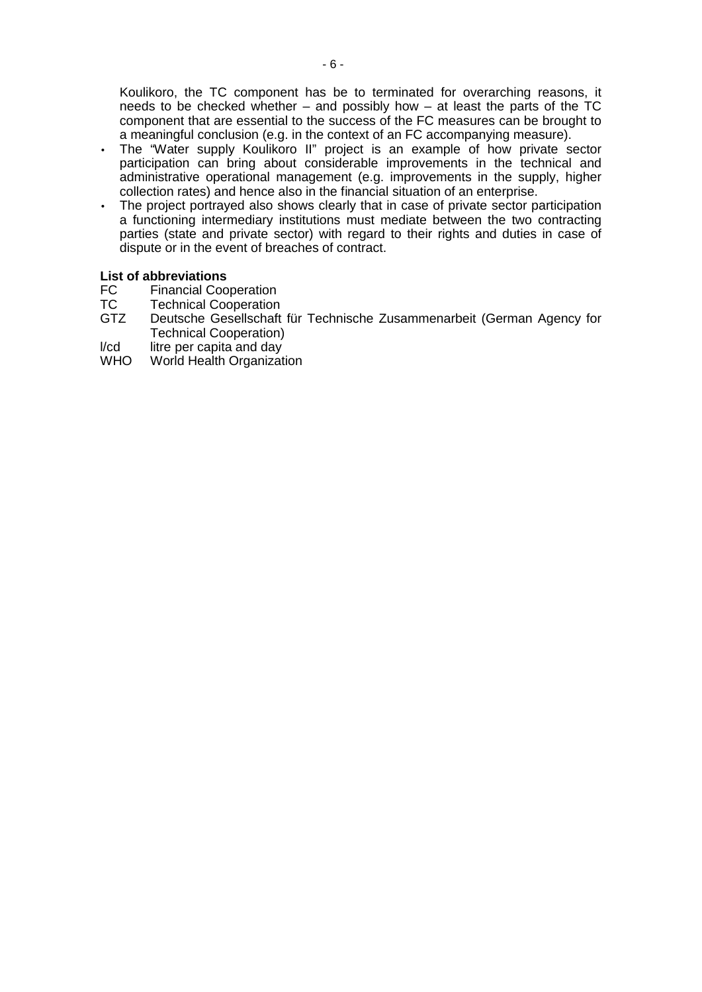Koulikoro, the TC component has be to terminated for overarching reasons, it needs to be checked whether – and possibly how – at least the parts of the TC component that are essential to the success of the FC measures can be brought to a meaningful conclusion (e.g. in the context of an FC accompanying measure).

- The "Water supply Koulikoro II" project is an example of how private sector participation can bring about considerable improvements in the technical and administrative operational management (e.g. improvements in the supply, higher collection rates) and hence also in the financial situation of an enterprise.
- The project portrayed also shows clearly that in case of private sector participation a functioning intermediary institutions must mediate between the two contracting parties (state and private sector) with regard to their rights and duties in case of dispute or in the event of breaches of contract.

# **List of abbreviations**

- FC Financial Cooperation<br>TC Technical Cooperation
- TC Technical Cooperation<br>GTZ Deutsche Gesellschaft
- Deutsche Gesellschaft für Technische Zusammenarbeit (German Agency for Technical Cooperation)
- l/cd litre per capita and day<br>WHO World Health Organizat
- World Health Organization